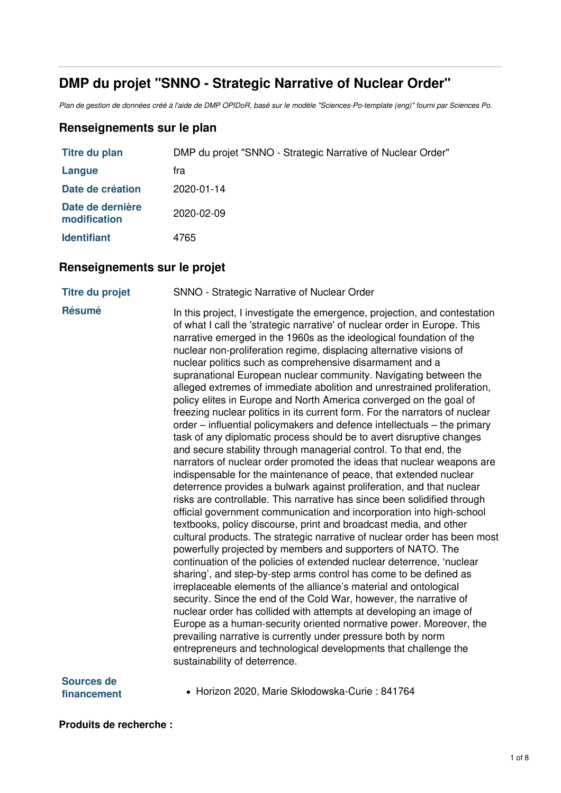# **DMP du projet "SNNO - Strategic Narrative of Nuclear Order"**

Plan de gestion de données créé à l'aide de DMP OPIDoR, basé sur le modèle "Sciences-Po-template (eng)" fourni par Sciences Po.

## **Renseignements sur le plan**

| Titre du plan                    | DMP du projet "SNNO - Strategic Narrative of Nuclear Order" |
|----------------------------------|-------------------------------------------------------------|
| Langue                           | fra                                                         |
| Date de création                 | 2020-01-14                                                  |
| Date de dernière<br>modification | 2020-02-09                                                  |
| <b>Identifiant</b>               | 4765                                                        |

## **Renseignements sur le projet**

**Titre du projet** SNNO - Strategic Narrative of Nuclear Order

**Résumé** In this project, I investigate the emergence, projection, and contestation of what I call the 'strategic narrative' of nuclear order in Europe. This narrative emerged in the 1960s as the ideological foundation of the nuclear non-proliferation regime, displacing alternative visions of nuclear politics such as comprehensive disarmament and a supranational European nuclear community. Navigating between the alleged extremes of immediate abolition and unrestrained proliferation, policy elites in Europe and North America converged on the goal of freezing nuclear politics in its current form. For the narrators of nuclear order – influential policymakers and defence intellectuals – the primary task of any diplomatic process should be to avert disruptive changes and secure stability through managerial control. To that end, the narrators of nuclear order promoted the ideas that nuclear weapons are indispensable for the maintenance of peace, that extended nuclear deterrence provides a bulwark against proliferation, and that nuclear risks are controllable. This narrative has since been solidified through official government communication and incorporation into high-school textbooks, policy discourse, print and broadcast media, and other cultural products. The strategic narrative of nuclear order has been most powerfully projected by members and supporters of NATO. The continuation of the policies of extended nuclear deterrence, 'nuclear sharing', and step-by-step arms control has come to be defined as irreplaceable elements of the alliance's material and ontological security. Since the end of the Cold War, however, the narrative of nuclear order has collided with attempts at developing an image of Europe as a human-security oriented normative power. Moreover, the prevailing narrative is currently under pressure both by norm entrepreneurs and technological developments that challenge the sustainability of deterrence.

**Sources de**

financement • Horizon 2020, Marie Skłodowska-Curie : 841764

**Produits de recherche :**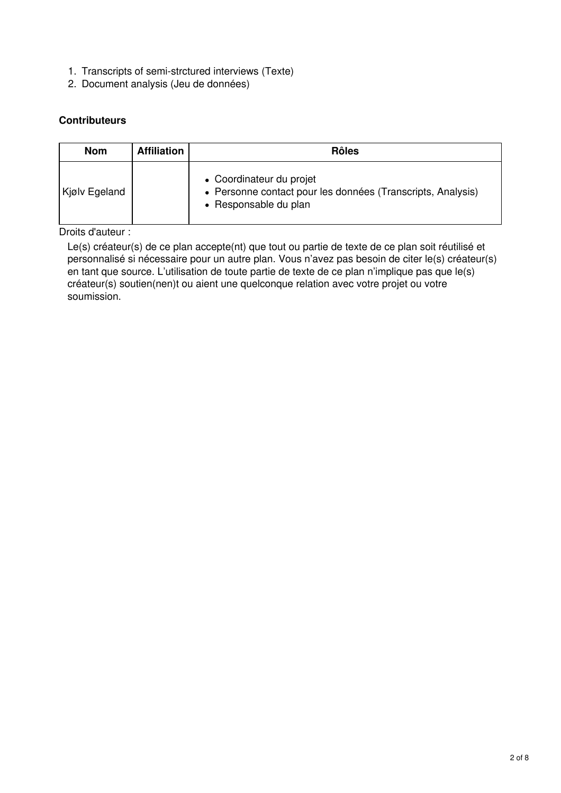- 1. Transcripts of semi-strctured interviews (Texte)
- 2. Document analysis (Jeu de données)

## **Contributeurs**

| <b>Nom</b>    | <b>Affiliation</b> | <b>Rôles</b>                                                                                                     |  |  |
|---------------|--------------------|------------------------------------------------------------------------------------------------------------------|--|--|
| Kjølv Egeland |                    | • Coordinateur du projet<br>• Personne contact pour les données (Transcripts, Analysis)<br>• Responsable du plan |  |  |

Droits d'auteur :

Le(s) créateur(s) de ce plan accepte(nt) que tout ou partie de texte de ce plan soit réutilisé et personnalisé si nécessaire pour un autre plan. Vous n'avez pas besoin de citer le(s) créateur(s) en tant que source. L'utilisation de toute partie de texte de ce plan n'implique pas que le(s) créateur(s) soutien(nen)t ou aient une quelconque relation avec votre projet ou votre soumission.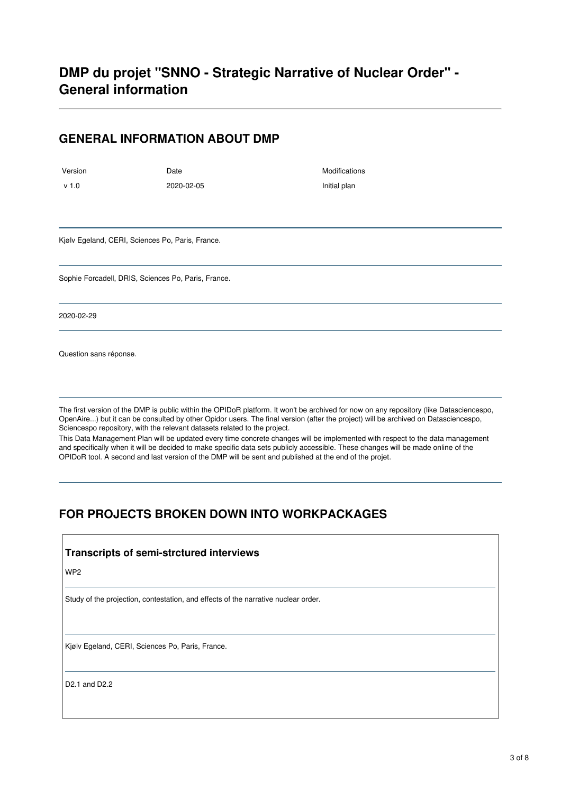## **GENERAL INFORMATION ABOUT DMP**

Version **Date** Date **Date** Modifications v 1.0 2020-02-05 Initial plan

Kjølv Egeland, CERI, Sciences Po, Paris, France.

Sophie Forcadell, DRIS, Sciences Po, Paris, France.

2020-02-29

Question sans réponse.

The first version of the DMP is public within the OPIDoR platform. It won't be archived for now on any repository (like Datasciencespo, OpenAire...) but it can be consulted by other Opidor users. The final version (after the project) will be archived on Datasciencespo, Sciencespo repository, with the relevant datasets related to the project.

This Data Management Plan will be updated every time concrete changes will be implemented with respect to the data management and specifically when it will be decided to make specific data sets publicly accessible. These changes will be made online of the OPIDoR tool. A second and last version of the DMP will be sent and published at the end of the projet.

# **FOR PROJECTS BROKEN DOWN INTO WORKPACKAGES**

#### **Transcripts of semi-strctured interviews**

WP2

Study of the projection, contestation, and effects of the narrative nuclear order.

Kjølv Egeland, CERI, Sciences Po, Paris, France.

D2.1 and D2.2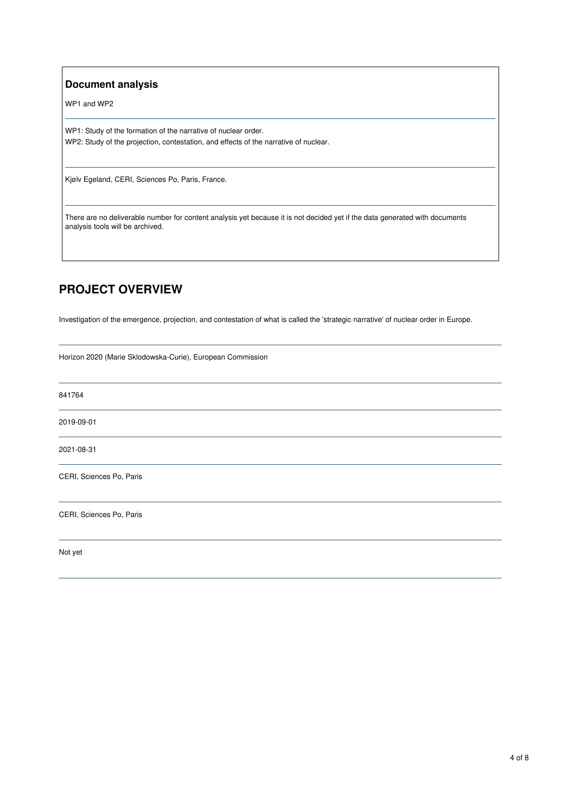#### **Document analysis**

WP1 and WP2

WP1: Study of the formation of the narrative of nuclear order. WP2: Study of the projection, contestation, and effects of the narrative of nuclear.

Kjølv Egeland, CERI, Sciences Po, Paris, France.

There are no deliverable number for content analysis yet because it is not decided yet if the data generated with documents analysis tools will be archived.

# **PROJECT OVERVIEW**

Investigation of the emergence, projection, and contestation of what is called the 'strategic narrative' of nuclear order in Europe.

Horizon 2020 (Marie Sklodowska-Curie), European Commission

841764 2019-09-01 2021-08-31 CERI, Sciences Po, Paris CERI, Sciences Po, Paris Not yet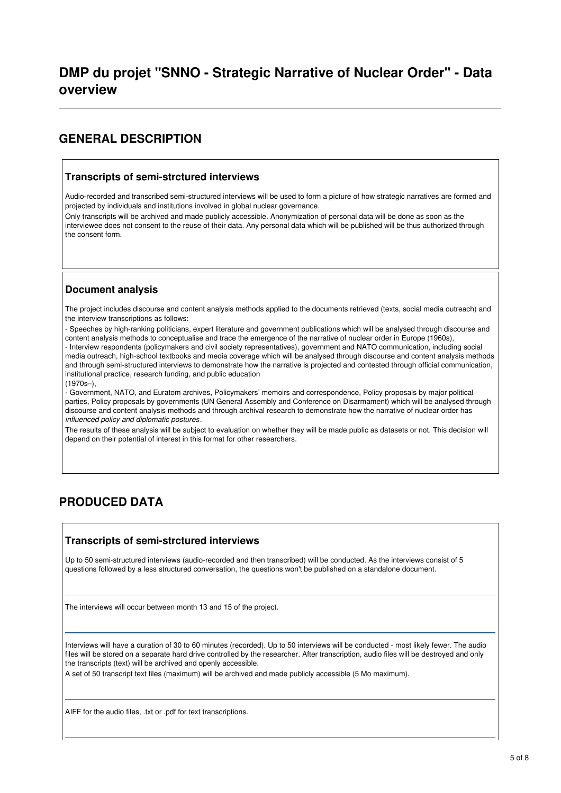## **GENERAL DESCRIPTION**

#### **Transcripts of semi-strctured interviews**

Audio-recorded and transcribed semi-structured interviews will be used to form a picture of how strategic narratives are formed and projected by individuals and institutions involved in global nuclear governance.

Only transcripts will be archived and made publicly accessible. Anonymization of personal data will be done as soon as the interviewee does not consent to the reuse of their data. Any personal data which will be published will be thus authorized through the consent form.

## **Document analysis**

The project includes discourse and content analysis methods applied to the documents retrieved (texts, social media outreach) and the interview transcriptions as follows:

- Speeches by high-ranking politicians, expert literature and government publications which will be analysed through discourse and content analysis methods to conceptualise and trace the emergence of the narrative of nuclear order in Europe (1960s), - Interview respondents (policymakers and civil society representatives), government and NATO communication, including social media outreach, high-school textbooks and media coverage which will be analysed through discourse and content analysis methods and through semi-structured interviews to demonstrate how the narrative is projected and contested through official communication, institutional practice, research funding, and public education (1970s–),

- Government, NATO, and Euratom archives, Policymakers' memoirs and correspondence, Policy proposals by major political parties, Policy proposals by governments (UN General Assembly and Conference on Disarmament) which will be analysed through discourse and content analysis methods and through archival research to demonstrate how the narrative of nuclear order has *influenced policy and diplomatic postures*.

The results of these analysis will be subject to evaluation on whether they will be made public as datasets or not. This decision will depend on their potential of interest in this format for other researchers.

# **PRODUCED DATA**

## **Transcripts of semi-strctured interviews**

Up to 50 semi-structured interviews (audio-recorded and then transcribed) will be conducted. As the interviews consist of 5 questions followed by a less structured conversation, the questions won't be published on a standalone document.

The interviews will occur between month 13 and 15 of the project.

Interviews will have a duration of 30 to 60 minutes (recorded). Up to 50 interviews will be conducted - most likely fewer. The audio files will be stored on a separate hard drive controlled by the researcher. After transcription, audio files will be destroyed and only the transcripts (text) will be archived and openly accessible.

A set of 50 transcript text files (maximum) will be archived and made publicly accessible (5 Mo maximum).

AIFF for the audio files, .txt or .pdf for text transcriptions.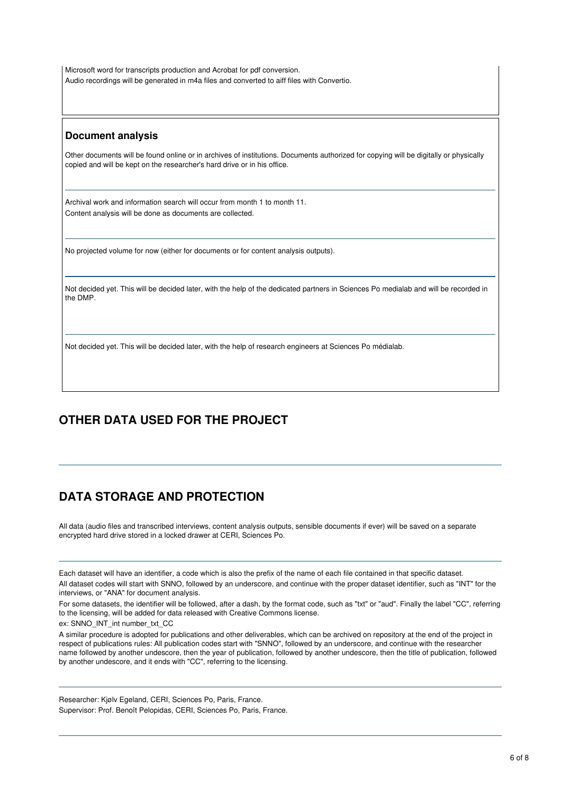Microsoft word for transcripts production and Acrobat for pdf conversion. Audio recordings will be generated in m4a files and converted to aiff files with Convertio.

#### **Document analysis**

Other documents will be found online or in archives of institutions. Documents authorized for copying will be digitally or physically copied and will be kept on the researcher's hard drive or in his office.

Archival work and information search will occur from month 1 to month 11. Content analysis will be done as documents are collected.

No projected volume for now (either for documents or for content analysis outputs).

Not decided yet. This will be decided later, with the help of the dedicated partners in Sciences Po medialab and will be recorded in the DMP.

Not decided yet. This will be decided later, with the help of research engineers at Sciences Po médialab.

# **OTHER DATA USED FOR THE PROJECT**

# **DATA STORAGE AND PROTECTION**

All data (audio files and transcribed interviews, content analysis outputs, sensible documents if ever) will be saved on a separate encrypted hard drive stored in a locked drawer at CERI, Sciences Po.

Each dataset will have an identifier, a code which is also the prefix of the name of each file contained in that specific dataset.

All dataset codes will start with SNNO, followed by an underscore, and continue with the proper dataset identifier, such as "INT" for the interviews, or "ANA" for document analysis.

For some datasets, the identifier will be followed, after a dash, by the format code, such as "txt" or "aud". Finally the label "CC", referring to the licensing, will be added for data released with Creative Commons license.

ex: SNNO\_INT\_int number\_txt\_CC

A similar procedure is adopted for publications and other deliverables, which can be archived on repository at the end of the project in respect of publications rules: All publication codes start with "SNNO", followed by an underscore, and continue with the researcher name followed by another undescore, then the year of publication, followed by another undescore, then the title of publication, followed by another undescore, and it ends with "CC", referring to the licensing.

Researcher: Kjølv Egeland, CERI, Sciences Po, Paris, France. Supervisor: Prof. Benoît Pelopidas, CERI, Sciences Po, Paris, France.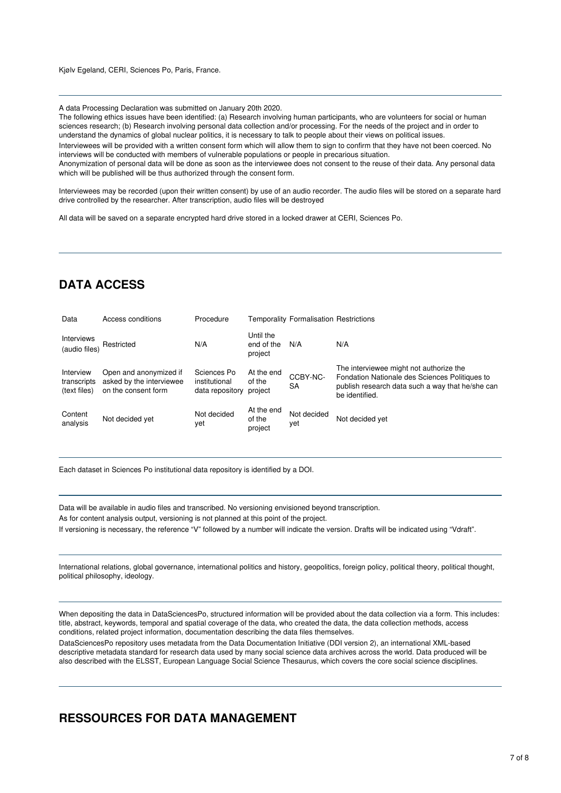Kjølv Egeland, CERI, Sciences Po, Paris, France.

A data Processing Declaration was submitted on January 20th 2020.

The following ethics issues have been identified: (a) Research involving human participants, who are volunteers for social or human sciences research; (b) Research involving personal data collection and/or processing. For the needs of the project and in order to understand the dynamics of global nuclear politics, it is necessary to talk to people about their views on political issues. Interviewees will be provided with a written consent form which will allow them to sign to confirm that they have not been coerced. No interviews will be conducted with members of vulnerable populations or people in precarious situation. Anonymization of personal data will be done as soon as the interviewee does not consent to the reuse of their data. Any personal data which will be published will be thus authorized through the consent form.

Interviewees may be recorded (upon their written consent) by use of an audio recorder. The audio files will be stored on a separate hard drive controlled by the researcher. After transcription, audio files will be destroyed

All data will be saved on a separate encrypted hard drive stored in a locked drawer at CERI, Sciences Po.

# **DATA ACCESS**

| Data                                     | Access conditions                                                         | Procedure                                       |                                    | <b>Temporality Formalisation Restrictions</b> |                                                                                                                                                                 |
|------------------------------------------|---------------------------------------------------------------------------|-------------------------------------------------|------------------------------------|-----------------------------------------------|-----------------------------------------------------------------------------------------------------------------------------------------------------------------|
| <b>Interviews</b><br>(audio files)       | Restricted                                                                | N/A                                             | Until the<br>end of the<br>project | N/A                                           | N/A                                                                                                                                                             |
| Interview<br>transcripts<br>(text files) | Open and anonymized if<br>asked by the interviewee<br>on the consent form | Sciences Po<br>institutional<br>data repository | At the end<br>of the<br>project    | CCBY-NC-<br><b>SA</b>                         | The interviewee might not authorize the<br>Fondation Nationale des Sciences Politiques to<br>publish research data such a way that he/she can<br>be identified. |
| Content<br>analysis                      | Not decided yet                                                           | Not decided<br>yet                              | At the end<br>of the<br>project    | Not decided<br>yet                            | Not decided yet                                                                                                                                                 |

Each dataset in Sciences Po institutional data repository is identified by a DOI.

Data will be available in audio files and transcribed. No versioning envisioned beyond transcription. As for content analysis output, versioning is not planned at this point of the project. If versioning is necessary, the reference "V" followed by a number will indicate the version. Drafts will be indicated using "Vdraft".

International relations, global governance, international politics and history, geopolitics, foreign policy, political theory, political thought, political philosophy, ideology.

When depositing the data in DataSciencesPo, structured information will be provided about the data collection via a form. This includes: title, abstract, keywords, temporal and spatial coverage of the data, who created the data, the data collection methods, access conditions, related project information, documentation describing the data files themselves.

DataSciencesPo repository uses metadata from the Data Documentation Initiative (DDI version 2), an international XML-based descriptive metadata standard for research data used by many social science data archives across the world. Data produced will be also described with the ELSST, European Language Social Science Thesaurus, which covers the core social science disciplines.

## **RESSOURCES FOR DATA MANAGEMENT**